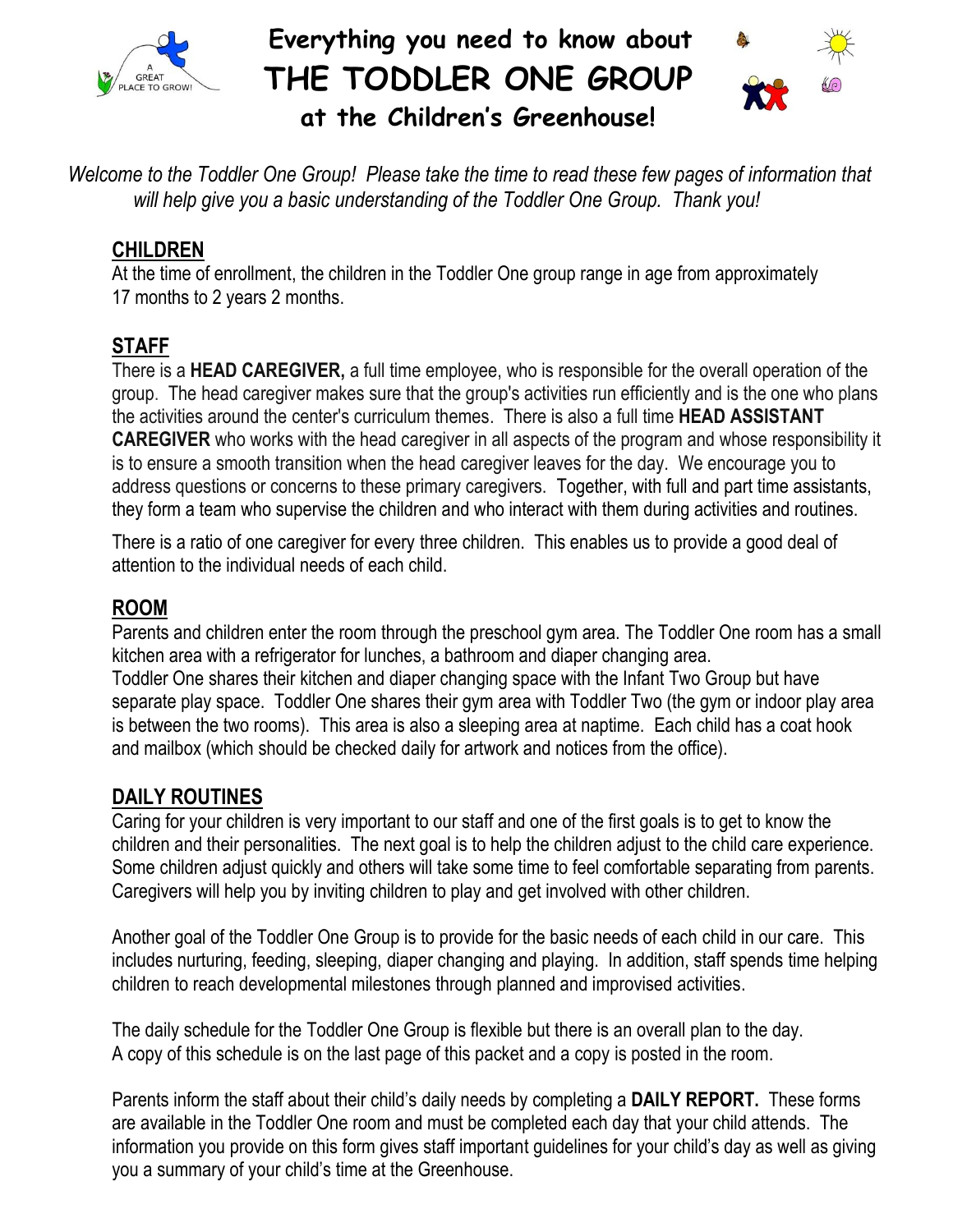

 **Everything you need to know about THE TODDLER ONE GROUP at the Children's Greenhouse!**



*Welcome to the Toddler One Group! Please take the time to read these few pages of information that will help give you a basic understanding of the Toddler One Group. Thank you!*

# **CHILDREN**

At the time of enrollment, the children in the Toddler One group range in age from approximately 17 months to 2 years 2 months.

# **STAFF**

There is a **HEAD CAREGIVER,** a full time employee, who is responsible for the overall operation of the group. The head caregiver makes sure that the group's activities run efficiently and is the one who plans the activities around the center's curriculum themes. There is also a full time **HEAD ASSISTANT CAREGIVER** who works with the head caregiver in all aspects of the program and whose responsibility it is to ensure a smooth transition when the head caregiver leaves for the day. We encourage you to address questions or concerns to these primary caregivers. Together, with full and part time assistants, they form a team who supervise the children and who interact with them during activities and routines.

There is a ratio of one caregiver for every three children. This enables us to provide a good deal of attention to the individual needs of each child.

# **ROOM**

Parents and children enter the room through the preschool gym area. The Toddler One room has a small kitchen area with a refrigerator for lunches, a bathroom and diaper changing area. Toddler One shares their kitchen and diaper changing space with the Infant Two Group but have separate play space. Toddler One shares their gym area with Toddler Two (the gym or indoor play area is between the two rooms). This area is also a sleeping area at naptime. Each child has a coat hook and mailbox (which should be checked daily for artwork and notices from the office).

# **DAILY ROUTINES**

Caring for your children is very important to our staff and one of the first goals is to get to know the children and their personalities. The next goal is to help the children adjust to the child care experience. Some children adjust quickly and others will take some time to feel comfortable separating from parents. Caregivers will help you by inviting children to play and get involved with other children.

Another goal of the Toddler One Group is to provide for the basic needs of each child in our care. This includes nurturing, feeding, sleeping, diaper changing and playing. In addition, staff spends time helping children to reach developmental milestones through planned and improvised activities.

The daily schedule for the Toddler One Group is flexible but there is an overall plan to the day. A copy of this schedule is on the last page of this packet and a copy is posted in the room.

Parents inform the staff about their child's daily needs by completing a **DAILY REPORT.** These forms are available in the Toddler One room and must be completed each day that your child attends. The information you provide on this form gives staff important guidelines for your child's day as well as giving you a summary of your child's time at the Greenhouse.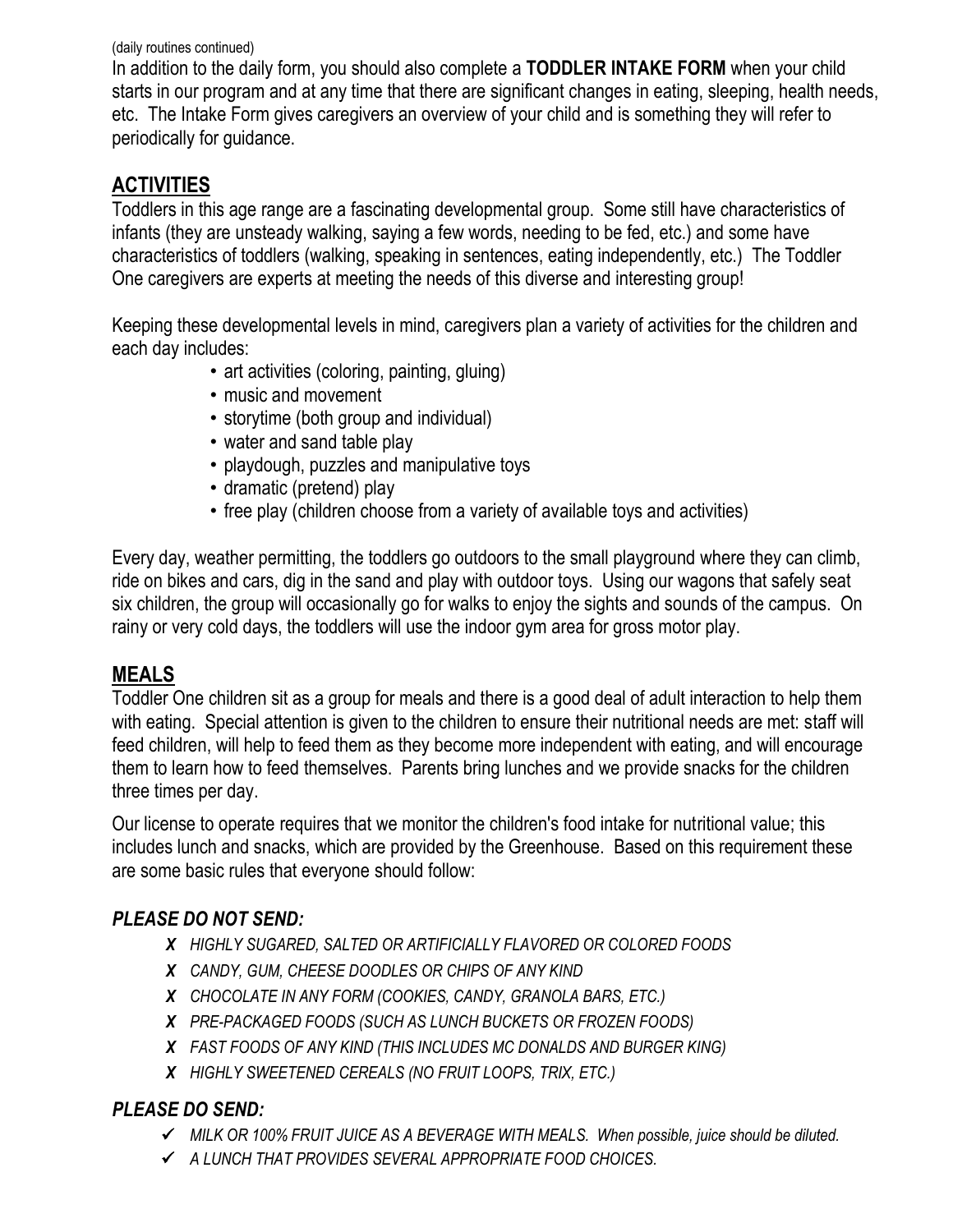#### (daily routines continued)

In addition to the daily form, you should also complete a **TODDLER INTAKE FORM** when your child starts in our program and at any time that there are significant changes in eating, sleeping, health needs, etc. The Intake Form gives caregivers an overview of your child and is something they will refer to periodically for guidance.

#### **ACTIVITIES**

Toddlers in this age range are a fascinating developmental group. Some still have characteristics of infants (they are unsteady walking, saying a few words, needing to be fed, etc.) and some have characteristics of toddlers (walking, speaking in sentences, eating independently, etc.) The Toddler One caregivers are experts at meeting the needs of this diverse and interesting group!

Keeping these developmental levels in mind, caregivers plan a variety of activities for the children and each day includes:

- art activities (coloring, painting, gluing)
- music and movement
- storytime (both group and individual)
- water and sand table play
- playdough, puzzles and manipulative toys
- dramatic (pretend) play
- free play (children choose from a variety of available toys and activities)

Every day, weather permitting, the toddlers go outdoors to the small playground where they can climb, ride on bikes and cars, dig in the sand and play with outdoor toys. Using our wagons that safely seat six children, the group will occasionally go for walks to enjoy the sights and sounds of the campus. On rainy or very cold days, the toddlers will use the indoor gym area for gross motor play.

#### **MEALS**

Toddler One children sit as a group for meals and there is a good deal of adult interaction to help them with eating. Special attention is given to the children to ensure their nutritional needs are met: staff will feed children, will help to feed them as they become more independent with eating, and will encourage them to learn how to feed themselves. Parents bring lunches and we provide snacks for the children three times per day.

Our license to operate requires that we monitor the children's food intake for nutritional value; this includes lunch and snacks, which are provided by the Greenhouse. Based on this requirement these are some basic rules that everyone should follow:

#### *PLEASE DO NOT SEND:*

- *X HIGHLY SUGARED, SALTED OR ARTIFICIALLY FLAVORED OR COLORED FOODS*
- *X CANDY, GUM, CHEESE DOODLES OR CHIPS OF ANY KIND*
- *X CHOCOLATE IN ANY FORM (COOKIES, CANDY, GRANOLA BARS, ETC.)*
- *X PRE-PACKAGED FOODS (SUCH AS LUNCH BUCKETS OR FROZEN FOODS)*
- *X FAST FOODS OF ANY KIND (THIS INCLUDES MC DONALDS AND BURGER KING)*
- *X HIGHLY SWEETENED CEREALS (NO FRUIT LOOPS, TRIX, ETC.)*

#### *PLEASE DO SEND:*

- *MILK OR 100% FRUIT JUICE AS A BEVERAGE WITH MEALS. When possible, juice should be diluted.*
- *A LUNCH THAT PROVIDES SEVERAL APPROPRIATE FOOD CHOICES.*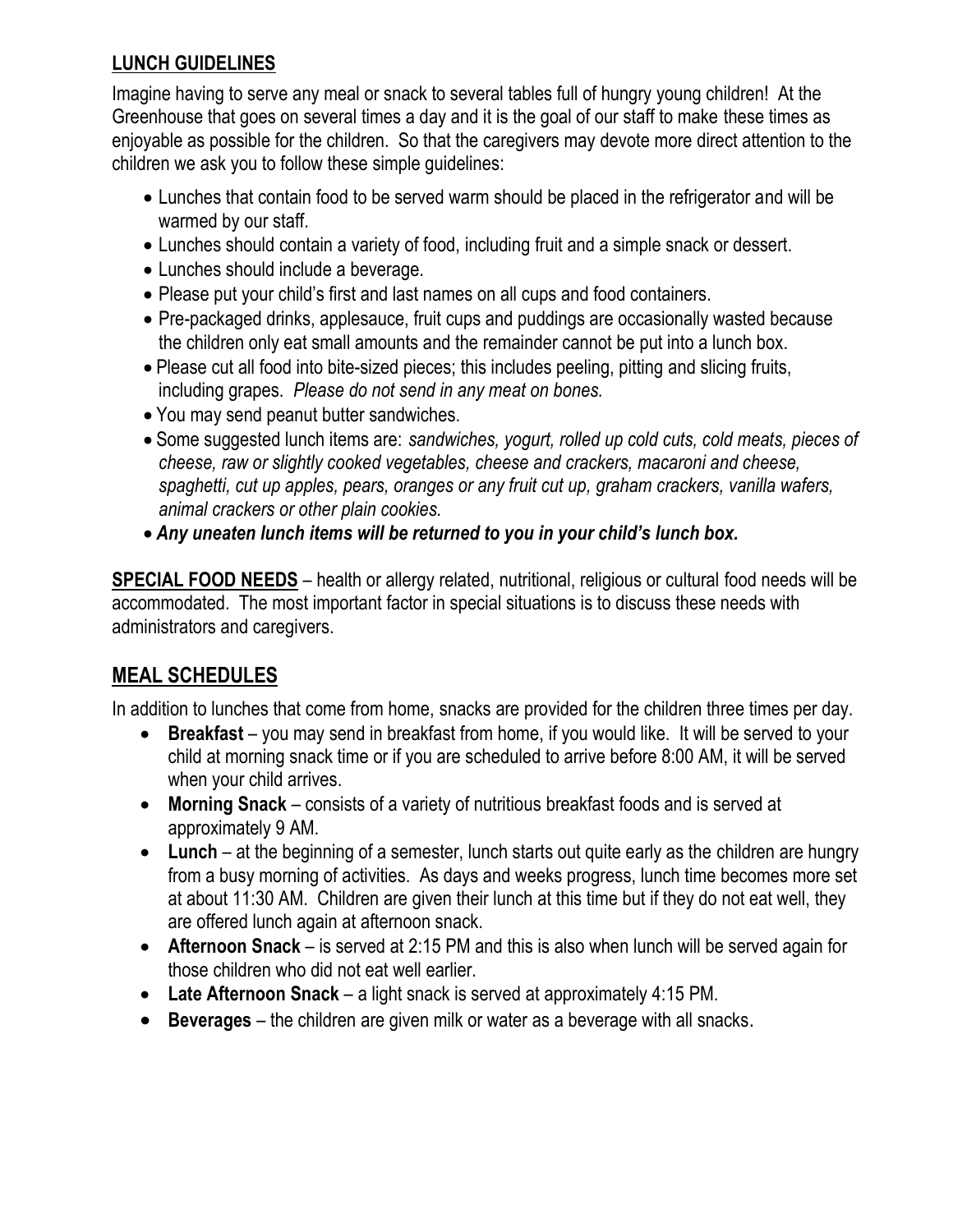#### **LUNCH GUIDELINES**

Imagine having to serve any meal or snack to several tables full of hungry young children! At the Greenhouse that goes on several times a day and it is the goal of our staff to make these times as enjoyable as possible for the children. So that the caregivers may devote more direct attention to the children we ask you to follow these simple guidelines:

- Lunches that contain food to be served warm should be placed in the refrigerator and will be warmed by our staff.
- Lunches should contain a variety of food, including fruit and a simple snack or dessert.
- Lunches should include a beverage.
- Please put your child's first and last names on all cups and food containers.
- Pre-packaged drinks, applesauce, fruit cups and puddings are occasionally wasted because the children only eat small amounts and the remainder cannot be put into a lunch box.
- Please cut all food into bite-sized pieces; this includes peeling, pitting and slicing fruits, including grapes. *Please do not send in any meat on bones.*
- You may send peanut butter sandwiches.
- Some suggested lunch items are: *sandwiches, yogurt, rolled up cold cuts, cold meats, pieces of cheese, raw or slightly cooked vegetables, cheese and crackers, macaroni and cheese, spaghetti, cut up apples, pears, oranges or any fruit cut up, graham crackers, vanilla wafers, animal crackers or other plain cookies.*
- *Any uneaten lunch items will be returned to you in your child's lunch box.*

**SPECIAL FOOD NEEDS** – health or allergy related, nutritional, religious or cultural food needs will be accommodated. The most important factor in special situations is to discuss these needs with administrators and caregivers.

# **MEAL SCHEDULES**

In addition to lunches that come from home, snacks are provided for the children three times per day.

- **Breakfast** you may send in breakfast from home, if you would like. It will be served to your child at morning snack time or if you are scheduled to arrive before 8:00 AM, it will be served when your child arrives.
- **Morning Snack** consists of a variety of nutritious breakfast foods and is served at approximately 9 AM.
- **Lunch** at the beginning of a semester, lunch starts out quite early as the children are hungry from a busy morning of activities. As days and weeks progress, lunch time becomes more set at about 11:30 AM. Children are given their lunch at this time but if they do not eat well, they are offered lunch again at afternoon snack.
- **Afternoon Snack** is served at 2:15 PM and this is also when lunch will be served again for those children who did not eat well earlier.
- **Late Afternoon Snack** a light snack is served at approximately 4:15 PM.
- **Beverages** the children are given milk or water as a beverage with all snacks.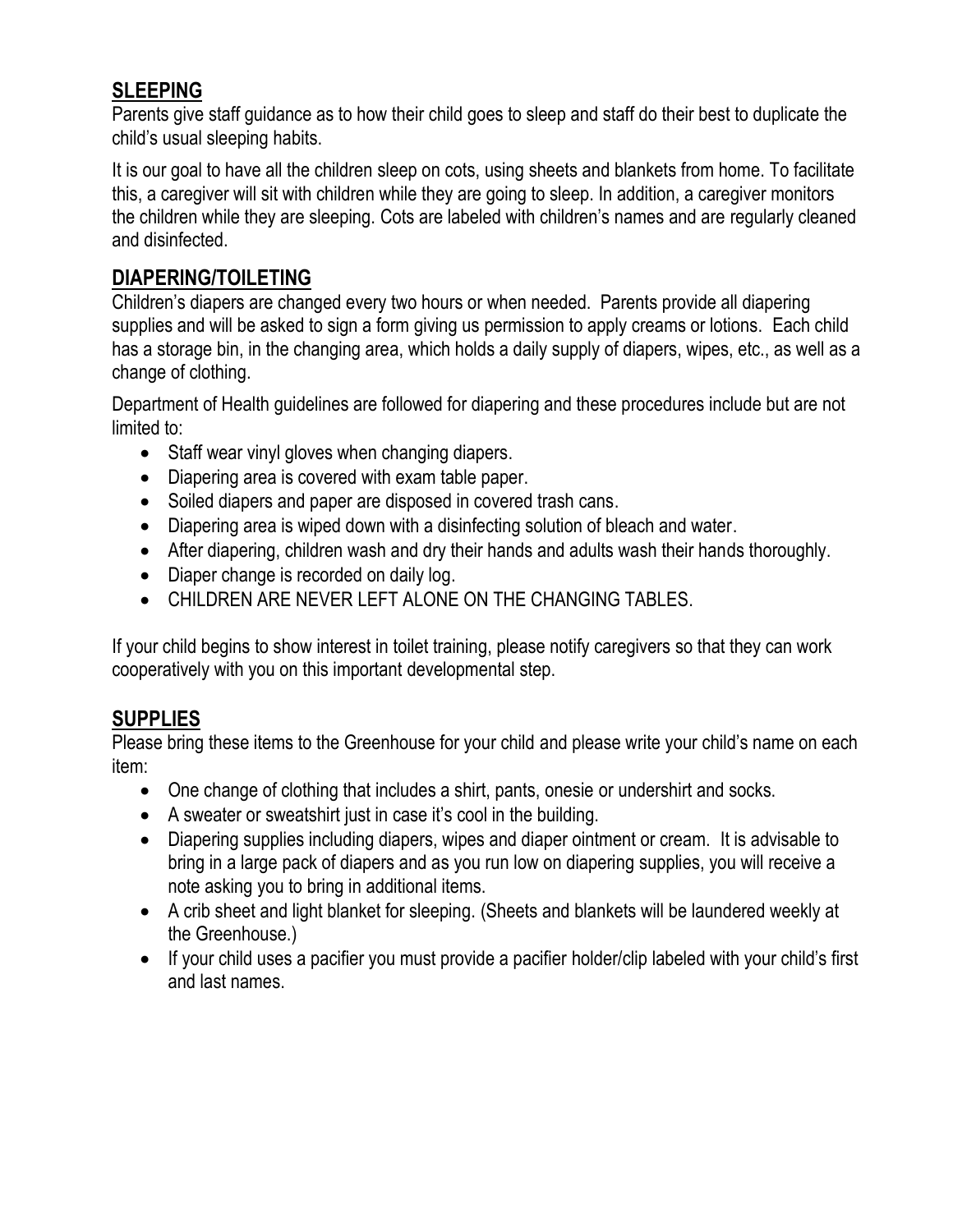## **SLEEPING**

Parents give staff guidance as to how their child goes to sleep and staff do their best to duplicate the child's usual sleeping habits.

It is our goal to have all the children sleep on cots, using sheets and blankets from home. To facilitate this, a caregiver will sit with children while they are going to sleep. In addition, a caregiver monitors the children while they are sleeping. Cots are labeled with children's names and are regularly cleaned and disinfected.

#### **DIAPERING/TOILETING**

Children's diapers are changed every two hours or when needed. Parents provide all diapering supplies and will be asked to sign a form giving us permission to apply creams or lotions. Each child has a storage bin, in the changing area, which holds a daily supply of diapers, wipes, etc., as well as a change of clothing.

Department of Health guidelines are followed for diapering and these procedures include but are not limited to:

- Staff wear vinyl gloves when changing diapers.
- Diapering area is covered with exam table paper.
- Soiled diapers and paper are disposed in covered trash cans.
- Diapering area is wiped down with a disinfecting solution of bleach and water.
- After diapering, children wash and dry their hands and adults wash their hands thoroughly.
- Diaper change is recorded on daily log.
- CHILDREN ARE NEVER LEFT ALONE ON THE CHANGING TABLES.

If your child begins to show interest in toilet training, please notify caregivers so that they can work cooperatively with you on this important developmental step.

#### **SUPPLIES**

Please bring these items to the Greenhouse for your child and please write your child's name on each item:

- One change of clothing that includes a shirt, pants, onesie or undershirt and socks.
- A sweater or sweatshirt just in case it's cool in the building.
- Diapering supplies including diapers, wipes and diaper ointment or cream. It is advisable to bring in a large pack of diapers and as you run low on diapering supplies, you will receive a note asking you to bring in additional items.
- A crib sheet and light blanket for sleeping. (Sheets and blankets will be laundered weekly at the Greenhouse.)
- If your child uses a pacifier you must provide a pacifier holder/clip labeled with your child's first and last names.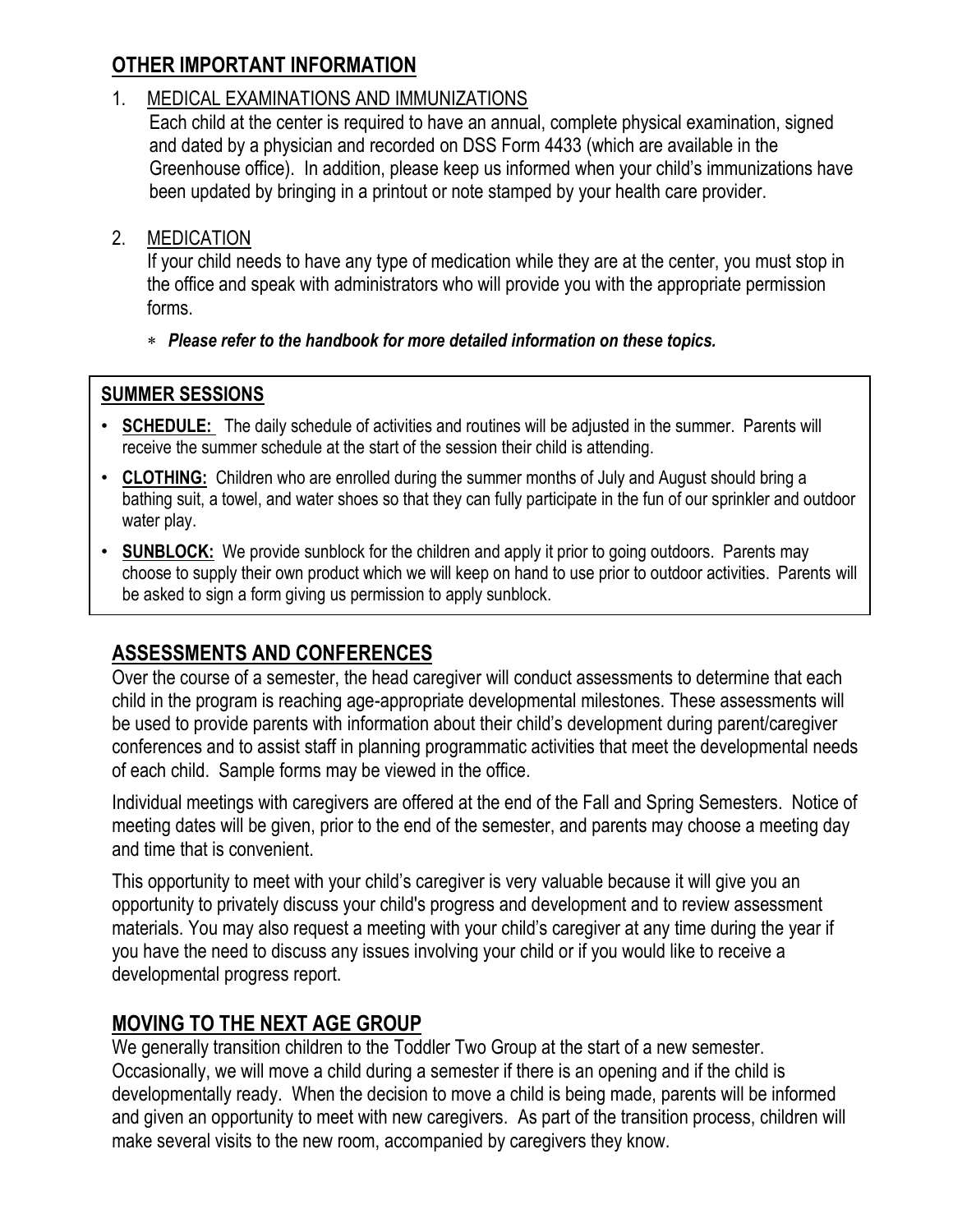# **OTHER IMPORTANT INFORMATION**

#### 1. MEDICAL EXAMINATIONS AND IMMUNIZATIONS

Each child at the center is required to have an annual, complete physical examination, signed and dated by a physician and recorded on DSS Form 4433 (which are available in the Greenhouse office). In addition, please keep us informed when your child's immunizations have been updated by bringing in a printout or note stamped by your health care provider.

#### 2. MEDICATION

If your child needs to have any type of medication while they are at the center, you must stop in the office and speak with administrators who will provide you with the appropriate permission forms.

*Please refer to the handbook for more detailed information on these topics.*

#### **SUMMER SESSIONS**

- **SCHEDULE:** The daily schedule of activities and routines will be adjusted in the summer. Parents will receive the summer schedule at the start of the session their child is attending.
- **CLOTHING:** Children who are enrolled during the summer months of July and August should bring a bathing suit, a towel, and water shoes so that they can fully participate in the fun of our sprinkler and outdoor water play.
- **SUNBLOCK:** We provide sunblock for the children and apply it prior to going outdoors. Parents may choose to supply their own product which we will keep on hand to use prior to outdoor activities. Parents will be asked to sign a form giving us permission to apply sunblock.

# **ASSESSMENTS AND CONFERENCES**

Over the course of a semester, the head caregiver will conduct assessments to determine that each child in the program is reaching age-appropriate developmental milestones. These assessments will be used to provide parents with information about their child's development during parent/caregiver conferences and to assist staff in planning programmatic activities that meet the developmental needs of each child. Sample forms may be viewed in the office.

Individual meetings with caregivers are offered at the end of the Fall and Spring Semesters. Notice of meeting dates will be given, prior to the end of the semester, and parents may choose a meeting day and time that is convenient.

This opportunity to meet with your child's caregiver is very valuable because it will give you an opportunity to privately discuss your child's progress and development and to review assessment materials. You may also request a meeting with your child's caregiver at any time during the year if you have the need to discuss any issues involving your child or if you would like to receive a developmental progress report.

# **MOVING TO THE NEXT AGE GROUP**

We generally transition children to the Toddler Two Group at the start of a new semester. Occasionally, we will move a child during a semester if there is an opening and if the child is developmentally ready. When the decision to move a child is being made, parents will be informed and given an opportunity to meet with new caregivers. As part of the transition process, children will make several visits to the new room, accompanied by caregivers they know.